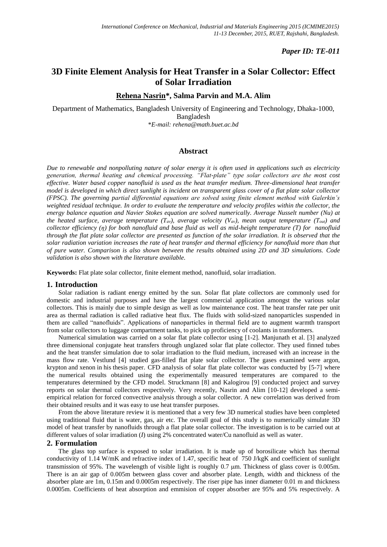## *Paper ID: TE-011*

# **3D Finite Element Analysis for Heat Transfer in a Solar Collector: Effect of Solar Irradiation**

## **Rehena Nasrin\*, Salma Parvin and M.A. Alim**

Department of Mathematics, Bangladesh University of Engineering and Technology, Dhaka-1000, Bangladesh \**E-mail: rehena@math.buet.ac.bd*

## **Abstract**

*Due to renewable and nonpolluting nature of solar energy it is often used in applications such as electricity generation, thermal heating and chemical processing. "Flat-plate" type solar collectors are the most cost effective. Water based copper nanofluid is used as the heat transfer medium. Three-dimensional heat transfer model is developed in which direct sunlight is incident on transparent glass cover of a flat plate solar collector (FPSC). The governing partial differential equations are solved using finite element method with Galerkin's weighted residual technique. In order to evaluate the temperature and velocity profiles within the collector, the energy balance equation and Navier Stokes equation are solved numerically. Average Nusselt number (Nu) at the heated surface, average temperature*  $(T_{av})$ *, average velocity*  $(V_{av})$ *, mean output temperature*  $(T_{out})$  *and collector efficiency (η) for both nanofluid and base fluid as well as mid-height temperature (T) for nanofluid through the flat plate solar collector are presented as function of the solar irradiation. It is observed that the solar radiation variation increases the rate of heat transfer and thermal efficiency for nanofluid more than that of pure water. Comparison is also shown between the results obtained using 2D and 3D simulations. Code validation is also shown with the literature available.*

**Keywords:** Flat plate solar collector, finite element method, nanofluid, solar irradiation.

#### **1. Introduction**

Solar radiation is radiant energy emitted by the sun. Solar flat plate collectors are commonly used for domestic and industrial purposes and have the largest commercial application amongst the various solar collectors. This is mainly due to simple design as well as low maintenance cost. The heat transfer rate per unit area as thermal radiation is called radiative heat flux. The fluids with solid-sized nanoparticles suspended in them are called "nanofluids". Applications of nanoparticles in thermal field are to augment warmth transport from solar collectors to luggage compartment tanks, to pick up proficiency of coolants in transformers.

Numerical simulation was carried on a solar flat plate collector using [1-2]. Manjunath et al. [3] analyzed three dimensional conjugate heat transfers through unglazed solar flat plate collector. They used finned tubes and the heat transfer simulation due to solar irradiation to the fluid medium, increased with an increase in the mass flow rate. Vestlund [4] studied gas-filled flat plate solar collector. The gases examined were argon, krypton and xenon in his thesis paper. CFD analysis of solar flat plate collector was conducted by [5-7] where the numerical results obtained using the experimentally measured temperatures are compared to the temperatures determined by the CFD model. Struckmann [8] and Kalogirou [9] conducted project and survey reports on solar thermal collectors respectively. Very recently, Nasrin and Alim [10-12] developed a semiempirical relation for forced convective analysis through a solar collector. A new correlation was derived from their obtained results and it was easy to use heat transfer purposes.

From the above literature review it is mentioned that a very few 3D numerical studies have been completed using traditional fluid that is water, gas, air etc. The overall goal of this study is to numerically simulate 3D model of heat transfer by nanofluids through a flat plate solar collector. The investigation is to be carried out at different values of solar irradiation (*I*) using 2% concentrated water/Cu nanofluid as well as water.

## **2. Formulation**

The glass top surface is exposed to solar irradiation. It is made up of borosilicate which has thermal conductivity of 1.14 W/mK and refractive index of 1.47, specific heat of 750 J/kgK and coefficient of sunlight transmission of 95%. The wavelength of visible light is roughly 0.7 [m.](http://en.wikipedia.org/wiki/Nanometre) Thickness of glass cover is 0.005m. There is an air gap of 0.005m between glass cover and absorber plate. Length, width and thickness of the absorber plate are 1m, 0.15m and 0.0005m respectively. The riser pipe has inner diameter 0.01 m and thickness 0.0005m. Coefficients of heat absorption and emmision of copper absorber are 95% and 5% respectively. A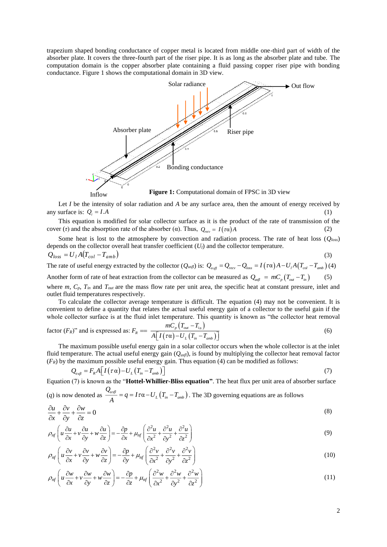trapezium shaped bonding conductance of copper metal is located from middle one-third part of width of the absorber plate. It covers the three-fourth part of the riser pipe. It is as long as the absorber plate and tube. The computation domain is the copper absorber plate containing a fluid passing copper riser pipe with bonding conductance. Figure 1 shows the computational domain in 3D view.



Let *I* be the intensity of solar radiation and *A* be any surface area, then the amount of energy received by any surface is:  $Q_i = I.A$ (1)

This equation is modified for solar collector surface as it is the product of the rate of transmission of the cover (*τ*) and the absorption rate of the absorber ( $\alpha$ ). Thus,  $Q_{\text{recv}} = I(\tau \alpha)A$ (2)

Some heat is lost to the atmosphere by convection and radiation process. The rate of heat loss  $(O_{loss})$ depends on the collector overall heat transfer coefficient (*Ul*) and the collector temperature.  $Q_{loss} = U_l A(T_{col} - T_{amb})$ (3)

The rate of useful energy extracted by the collector  $(Q_{usfl})$  is:  $Q_{usfl} = Q_{recv} - Q_{loss} = I(\tau \alpha)A - U_I A(T_{col} - T_{amb})$  (4)

Another form of rate of heat extraction from the collector can be measured as  $Q_{u\text{sfl}} = mC_p (T_{out} - T_{in})$ (5) where  $m$ ,  $C_p$ ,  $T_{in}$  and  $T_{out}$  are the mass flow rate per unit area, the specific heat at constant pressure, inlet and outlet fluid temperatures respectively.

To calculate the collector average temperature is difficult. The equation (4) may not be convenient. It is convenient to define a quantity that relates the actual useful energy gain of a collector to the useful gain if the

whole collector surface is at the fluid inlet temperature. This quantity is known as "the collector heat removal factor (*F<sub>R</sub>*)" and is expressed as: 
$$
F_R = \frac{mC_p \left( T_{out} - T_{in} \right)}{A \left[ I \left( \tau \alpha \right) - U_L \left( T_{in} - T_{amb} \right) \right]}
$$
(6)

The maximum possible useful energy gain in a solar collector occurs when the whole collector is at the inlet fluid temperature. The actual useful energy gain (*Qusfl*), is found by multiplying the collector heat removal factor  $(F_R)$  by the maximum possible useful energy gain. Thus equation (4) can be modified as follows:

$$
Q_{u,\bar{v}l} = F_R A \Big[ I \Big( \tau \alpha \Big) - U_L \Big( T_{in} - T_{amb} \Big) \Big] \tag{7}
$$

Equation (7) is known as the "**Hottel-Whillier-Bliss equation"**. The heat flux per unit area of absorber surface *Q*

(*q*) is now denoted as  $\frac{Z_{u, gfl}}{A} = q = I \tau \alpha - U_L (T_{in} - T_{amb})$  $\frac{d^2x}{dt^2} = q = I\tau\alpha - U_L(T_{in} - T_{amb})$ . The 3D governing equations are as follows

$$
\frac{\partial u}{\partial x} + \frac{\partial v}{\partial y} + \frac{\partial w}{\partial z} = 0
$$
\n(8)

$$
\rho_{nf}\left(u\frac{\partial u}{\partial x} + v\frac{\partial u}{\partial y} + w\frac{\partial u}{\partial z}\right) = -\frac{\partial p}{\partial x} + \mu_{nf}\left(\frac{\partial^2 u}{\partial x^2} + \frac{\partial^2 u}{\partial y^2} + \frac{\partial^2 u}{\partial z^2}\right)
$$
\n(9)

$$
\rho_{nf} \left( u \frac{\partial v}{\partial x} + v \frac{\partial v}{\partial y} + w \frac{\partial v}{\partial z} \right) = -\frac{\partial p}{\partial y} + \mu_{nf} \left( \frac{\partial^2 v}{\partial x^2} + \frac{\partial^2 v}{\partial y^2} + \frac{\partial^2 v}{\partial z^2} \right)
$$
(10)

$$
\rho_{nf}\left(u\frac{\partial w}{\partial x} + v\frac{\partial w}{\partial y} + w\frac{\partial w}{\partial z}\right) = -\frac{\partial p}{\partial z} + \mu_{nf}\left(\frac{\partial^2 w}{\partial x^2} + \frac{\partial^2 w}{\partial y^2} + \frac{\partial^2 w}{\partial z^2}\right)
$$
(11)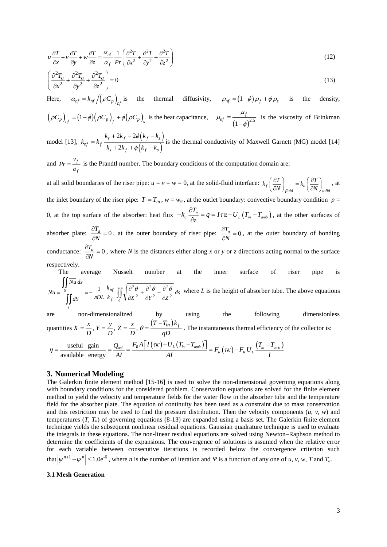$$
u\frac{\partial T}{\partial x} + v\frac{\partial T}{\partial y} + w\frac{\partial T}{\partial z} = \frac{\alpha_{nf}}{\alpha_f} \frac{1}{Pr} \left( \frac{\partial^2 T}{\partial x^2} + \frac{\partial^2 T}{\partial y^2} + \frac{\partial^2 T}{\partial z^2} \right)
$$
(12)

$$
\left(\frac{\partial^2 T_a}{\partial x^2} + \frac{\partial^2 T_a}{\partial y^2} + \frac{\partial^2 T_a}{\partial z^2}\right) = 0
$$
\n(13)

Here,  $\alpha_{nf} = k_{nf} / (\rho C_p)_{nf}$  is the thermal diffusivity,  $\rho_{nf} = (1 - \phi) \rho_f + \phi \rho_s$  is the density,  $(\rho C_p)_{n f} = (1 - \phi)(\rho C_p)_{f} + \phi(\rho C_p)_{s}$  is the heat capacitance,  $(1-\phi)^{2.5}$ *f nf*  $\mu$  $\mu_{nf} = \frac{F}{(1-\phi)^{2.5}}$  is the viscosity of Brinkman

model [13],  $k_{nf} = k_f \frac{k_s + 2k_f - 2\phi(k_f - k_s)}{(k_f - k_f)}$  $\left(k_{f}-k_{s}\right)$ 2k  $_{\epsilon}$   $-$  2 2  $s$ <sup> $\mu$ </sup>  $\sim$ *f*  $\sim$ *f*  $\sim$ *f*  $\sim$ *s*  $nf - \mathcal{N}f$  $s$ <sup> $\alpha$ </sup>  $f$ <sup> $\beta$ </sup>  $\beta$   $\beta$ <sub>*f*</sub>  $\beta$ <sub>*s*</sub>  $k_{c} + 2k_{f} - 2\phi$ **(** $k_{f} - k$  $k_{\mu}$  $\epsilon = k$  $k_{\alpha} + 2k_{\beta} + \phi(k_{\beta} - k)$  $\phi$  $\phi$  $= k_f \frac{k_s + 2k_f - 2\phi (k_f - k_s)}{k_s + 2k_s + \phi (k_s - k_s)}$  is the thermal conductivity of Maxwell Garnett (MG) model [14]

and  $Pr = \frac{f}{f}$ *f*  $Pr = \frac{v_f}{\alpha_f}$  is the Prandtl number. The boundary conditions of the computation domain are:

at all solid boundaries of the riser pipe:  $u = v = w = 0$ , at the solid-fluid interface:  $k_f \left( \frac{\partial I}{\partial N} \right)_{fluid} = k_a \left( \frac{\partial I}{\partial N} \right)_{solid}$  $k_f\left(\frac{\partial T}{\partial N}\right)_{d_{mid}} = k_a\left(\frac{\partial T}{\partial N}\right)$  $\left(\frac{\partial T}{\partial N}\right)_{fluid} = k_a \left(\frac{\partial T}{\partial N}\right)_{solid}$ , at the inlet boundary of the riser pipe:  $T = T_{in}$ ,  $w = w_{in}$ , at the outlet boundary: convective boundary condition  $p =$ 0, at the top surface of the absorber: heat flux  $-k_a \frac{\partial I_a}{\partial x} = q = I \tau \alpha - U_L (T_{in} - T_{amb})$  $k_a \frac{\partial T_a}{\partial z} = q = I \tau \alpha - U_L (T_m - T_a)$  $-k_a \frac{\partial T_a}{\partial z} = q = I \tau \alpha - U_L (T_{in} - T_{amb})$ , at the other surfaces of absorber plate:  $\frac{\partial T_a}{\partial x} = 0$ *N*  $\frac{\partial T_a}{\partial N} = 0$ , at the outer boundary of riser pipe:  $\frac{\partial T_a}{\partial N} = 0$ *N*  $\frac{\partial T_a}{\partial N} = 0$ , at the outer boundary of bonding

conductance:  $\frac{\partial T_a}{\partial x} = 0$ *N*  $\frac{\partial T_a}{\partial N} = 0$ , where *N* is the distances either along *x* or *y* or *z* directions acting normal to the surface respectively.

The average Nusselt number at the inner surface of riser pipe is  $\int\!\!\!\int dS = -\frac{1}{\pi D L} \frac{\kappa_{nf}}{k_f} \iint\!\!\!\int$ ∬ д  $rac{\partial^2 \theta}{\partial Y^2} + \frac{\partial}{\partial Y}$  $\frac{\partial^2 \theta}{\partial x^2} + \frac{\partial}{\partial y^2}$  $=\frac{s}{s}=-\frac{1}{s}=\frac{k_{nf}}{s}$   $\int_{0}^{1}\frac{\partial}{\partial s}$ *S f*  $\frac{s}{\int \int ds} = -\frac{1}{\pi D L} \frac{\kappa_{nf}}{k_f} \int \int \sqrt{\frac{\partial}{\partial X^2}} + \frac{\partial}{\partial Y^2} + \frac{\partial}{\partial Z^2} ds$ *k*  $dS$   $\pi DL$ *Nu ds*  $Nu = \frac{3}{\sqrt{2}} = -\frac{1}{\pi D L} \frac{1}{k}$ 2 2 2 2 1  $k_{nf}$  cc  $\left|\partial^2 \theta \quad \partial^2 \theta \quad \partial^2 \theta\right|$  $\frac{1}{\pi DL} \frac{k_{hf}}{k_f} \iint \sqrt{\frac{\partial^2 \theta}{\partial x^2}} + \frac{\partial^2 \theta}{\partial y^2} + \frac{\partial^2 \theta}{\partial z^2} ds$  where L is the height of absorber tube. The above equations

non-dimensionalized by using the following dimensionless quantities  $X = \frac{x}{\epsilon}, Y = \frac{y}{\epsilon}, Z = \frac{z}{\epsilon}, \theta = \frac{(T - T_{in})k_f}{\epsilon}$ *D D D qD*  $=\frac{x}{x}$ ,  $Y=\frac{y}{x}$ ,  $Z=\frac{z}{x}$ ,  $\theta=\frac{(Y-T_{in})^k f}{x}$ . The instantaneous thermal efficiency of the collector is:  $(\tau\kappa)\!-\!U_L^{}\big(T_{\hskip-1.5pt\textit{in}}\!-\!T_{\hskip-1.5pt\textit{amb}}\big)$ useful gain  $=\frac{Q_{\text{usfl}}}{4I}=\frac{F_R A [I(\tau\kappa)-U_L(T_{in}-T_{amb})]}{4I}=F_R(\tau\kappa)-F_R U_L \frac{(T_{in}-T_{amb})}{I}$ available energy  $\frac{Q_{\rm usfl}}{AI} = \frac{F_R A \lfloor I(\tau \kappa) - U_L (T_{\rm in} - T_{\rm amb}) \rfloor}{AI} = F_R(\tau \kappa) - F_R U_L \frac{(T_{\rm in} - T_{\rm amb})}{I}$ τк  $\eta = \frac{\text{useful gain}}{\text{max}_{m \to \infty}} = \frac{Q_{\text{usfl}}}{Q_{\text{usfl}}} = \frac{F_R A \left[I \left(\tau \kappa\right) - U_L \left(T_m - T_{\text{amb}}\right)\right]}{I} = F_R \left(\tau \kappa\right) - F_R U_L \frac{\left(T_m - T_{\text{usfl}}\right)}{I}$ 

#### **3. Numerical Modeling**

*s*

The Galerkin finite element method [15-16] is used to solve the non-dimensional governing equations along with boundary conditions for the considered problem. Conservation equations are solved for the finite element method to yield the velocity and temperature fields for the water flow in the absorber tube and the temperature field for the absorber plate. The equation of continuity has been used as a constraint due to mass conservation and this restriction may be used to find the pressure distribution. Then the velocity components  $(u, v, w)$  and temperatures  $(T, T_a)$  of governing equations (8-13) are expanded using a basis set. The Galerkin finite element technique yields the subsequent nonlinear residual equations. Gaussian quadrature technique is used to evaluate the integrals in these equations. The non-linear residual equations are solved using Newton–Raphson method to determine the coefficients of the expansions. The convergence of solutions is assumed when the relative error for each variable between consecutive iterations is recorded below the convergence criterion such that  $|\psi^{n+1} - \psi^n| \le 1.0e^{-6}$ , where *n* is the number of iteration and *Ψ* is a function of any one of *u*, *v*, *w*, *T* and *T*<sub>*a*</sub>.

## **3.1 Mesh Generation**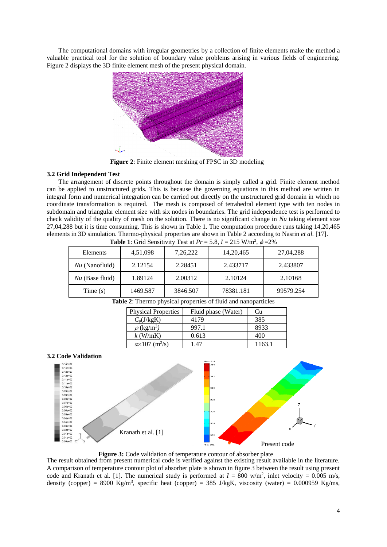The computational domains with irregular geometries by a collection of finite elements make the method a valuable practical tool for the solution of boundary value problems arising in various fields of engineering. Figure 2 displays the 3D finite element mesh of the present physical domain.



**Figure 2**: Finite element meshing of FPSC in 3D modeling

#### **3.2 Grid Independent Test**

The arrangement of discrete points throughout the domain is simply called a grid. Finite element method can be applied to unstructured grids. This is because the governing equations in this method are written in integral form and numerical integration can be carried out directly on the unstructured grid domain in which no coordinate transformation is required. The mesh is composed of tetrahedral element type with ten nodes in subdomain and triangular element size with six nodes in boundaries. The grid independence test is performed to check validity of the quality of mesh on the solution. There is no significant change in *Nu* taking element size 27,04,288 but it is time consuming. This is shown in Table 1. The computation procedure runs taking 14,20,465 elements in 3D simulation. Thermo-physical properties are shown in Table 2 according to Nasrin *et al.* [17].

| <b>THERE</b> I. OTHER DUBBLE FILT TORE ALL $T = 3.0$ , $T = 21.3$ m/m, $\psi = 27.0$ |          |          |             |           |  |  |
|--------------------------------------------------------------------------------------|----------|----------|-------------|-----------|--|--|
| Elements                                                                             | 4,51,098 | 7,26,222 | 14, 20, 465 | 27,04,288 |  |  |
| $Nu$ (Nanofluid)                                                                     | 2.12154  | 2.28451  | 2.433717    | 2.433807  |  |  |
| $Nu$ (Base fluid)                                                                    | 1.89124  | 2.00312  | 2.10124     | 2.10168   |  |  |
| Time(s)                                                                              | 1469.587 | 3846.507 | 78381.181   | 99579.254 |  |  |
| <b>Table 2:</b> Thermo physical properties of fluid and nanoparticles                |          |          |             |           |  |  |

**Table 1**: Grid Sensitivity Test at  $Pr = 5.8$ ,  $I = 215$  W/m<sup>2</sup>,  $\phi = 2\%$ 

| $\sim$ 2. Thermo preparate properties of fraid and manoparateles |                                         |                     |        |  |  |
|------------------------------------------------------------------|-----------------------------------------|---------------------|--------|--|--|
|                                                                  | <b>Physical Properties</b>              | Fluid phase (Water) | Ċu     |  |  |
|                                                                  | $C_p(J/kgK)$                            | 4179                | 385    |  |  |
|                                                                  | $\rho$ (kg/m <sup>3</sup> )             | 997.1               | 8933   |  |  |
|                                                                  | $k$ (W/mK)                              | 0.613               | 400    |  |  |
|                                                                  | $\alpha \times 107$ (m <sup>2</sup> /s) | 1.47                | 1163.1 |  |  |

#### **3.2 Code Validation**



## **Figure 3:** Code validation of temperature contour of absorber plate

The result obtained from present numerical code is verified against the existing result available in the literature. A comparison of temperature contour plot of absorber plate is shown in figure 3 between the result using present code and Kranath et al. [1]. The numerical study is performed at  $I = 800$  w/m<sup>2</sup>, inlet velocity = 0.005 m/s, density (copper) = 8900 Kg/m<sup>3</sup>, specific heat (copper) = 385 J/kgK, viscosity (water) = 0.000959 Kg/ms,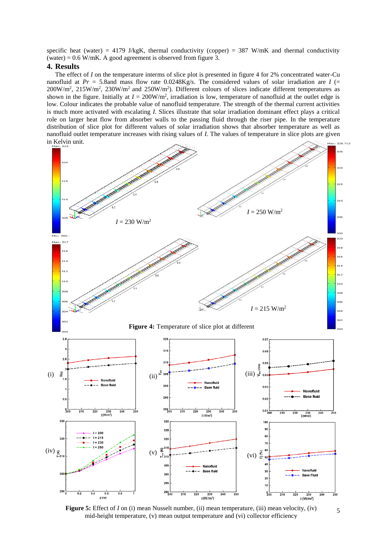specific heat (water) = 4179 J/kgK, thermal conductivity (copper) = 387 W/mK and thermal conductivity (water) =  $0.6$  W/mK. A good agreement is observed from figure 3.

#### **4. Results**

The effect of *I* on the temperature interms of slice plot is presented in figure 4 for 2% concentrated water-Cu nanofluid at  $Pr = 5.8$ and mass flow rate  $0.0248Kg/s$ . The considered values of solar irradiation are *I* (=  $200W/m^2$ ,  $215W/m^2$ ,  $230W/m^2$  and  $250W/m^2$ ). Different colours of slices indicate different temperatures as shown in the figure. Initially at  $I = 200W/m^2$ , irradiation is low, temperature of nanofluid at the outlet edge is low. Colour indicates the probable value of nanofluid temperature. The strength of the thermal current activities is much more activated with escalating *I*. Slices illustrate that solar irradiation dominant effect plays a critical role on larger heat flow from absorber walls to the passing fluid through the riser pipe. In the temperature distribution of slice plot for different values of solar irradiation shows that absorber temperature as well as nanofluid outlet temperature increases with rising values of *I*. The values of temperature in slice plots are given in Kelvin unit.



**Figure 5:** Effect of *I* on (i) mean Nusselt number, (ii) mean temperature, (iii) mean velocity, (iv) mid-height temperature, (v) mean output temperature and (vi) collector efficiency

5